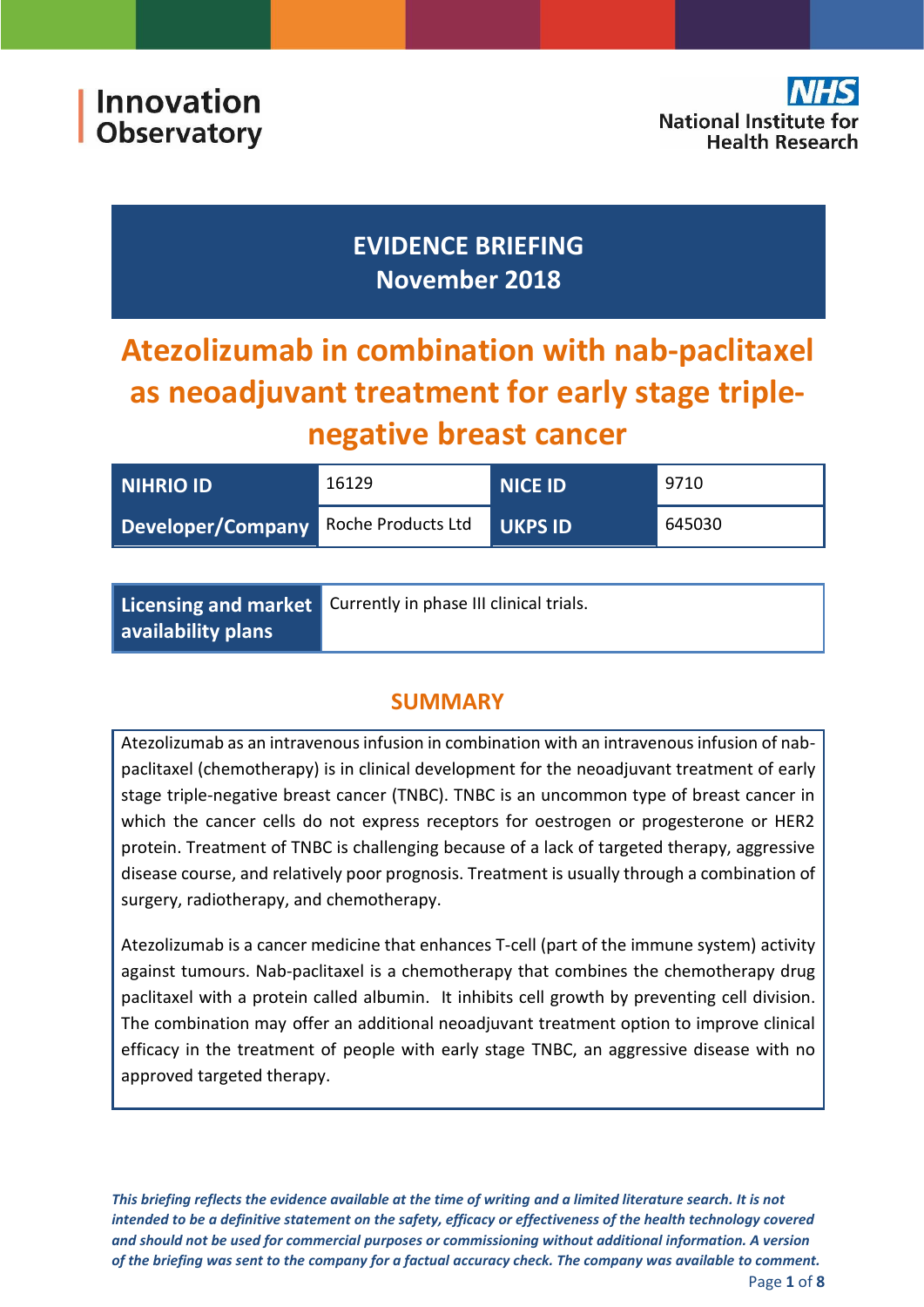

## **EVIDENCE BRIEFING November 2018**

# **Atezolizumab in combination with nab-paclitaxel as neoadjuvant treatment for early stage triplenegative breast cancer**

| <b>NIHRIO ID</b>                     | 16129 | <b>NICE ID</b> | 9710   |
|--------------------------------------|-------|----------------|--------|
| Developer/Company Roche Products Ltd |       | UKPS ID        | 645030 |

|                    | Licensing and market Currently in phase III clinical trials. |  |
|--------------------|--------------------------------------------------------------|--|
| availability plans |                                                              |  |

## **SUMMARY**

Atezolizumab as an intravenous infusion in combination with an intravenous infusion of nabpaclitaxel (chemotherapy) is in clinical development for the neoadjuvant treatment of early stage triple-negative breast cancer (TNBC). TNBC is an uncommon type of breast cancer in which the cancer cells do not express receptors for oestrogen or progesterone or HER2 protein. Treatment of TNBC is challenging because of a lack of targeted therapy, aggressive disease course, and relatively poor prognosis. Treatment is usually through a combination of surgery, radiotherapy, and chemotherapy.

Atezolizumab is a cancer medicine that enhances T-cell (part of the immune system) activity against tumours. Nab-paclitaxel is a chemotherapy that combines the chemotherapy drug paclitaxel with a protein called albumin. It inhibits cell growth by preventing cell division. The combination may offer an additional neoadjuvant treatment option to improve clinical efficacy in the treatment of people with early stage TNBC, an aggressive disease with no approved targeted therapy.

*This briefing reflects the evidence available at the time of writing and a limited literature search. It is not intended to be a definitive statement on the safety, efficacy or effectiveness of the health technology covered and should not be used for commercial purposes or commissioning without additional information. A version of the briefing was sent to the company for a factual accuracy check. The company was available to comment.*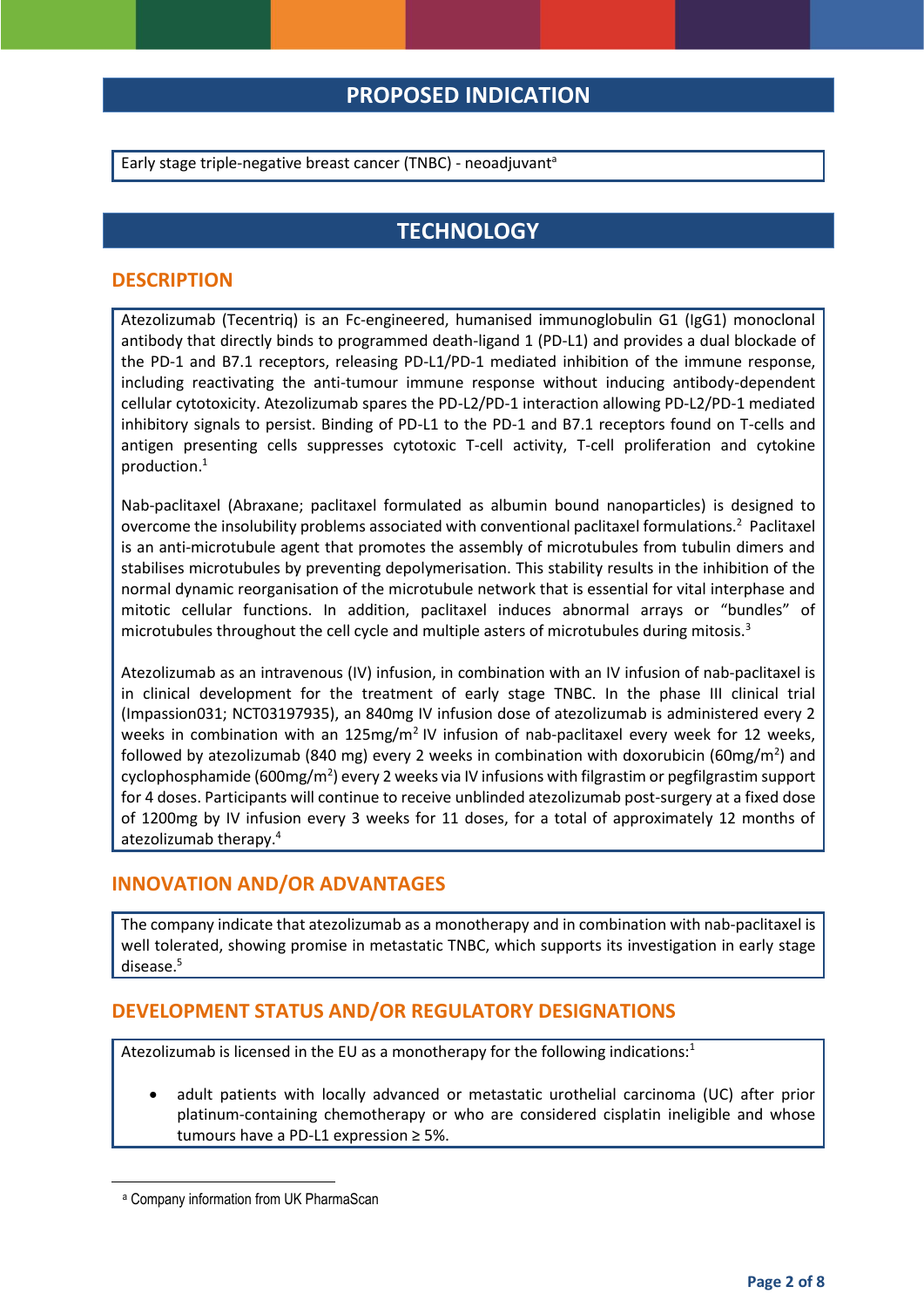## **PROPOSED INDICATION**

Early stage triple-negative breast cancer (TNBC) - neoadjuvant<sup>a</sup>

## **TECHNOLOGY**

#### **DESCRIPTION**

Atezolizumab (Tecentriq) is an Fc-engineered, humanised immunoglobulin G1 (IgG1) monoclonal antibody that directly binds to programmed death-ligand 1 (PD-L1) and provides a dual blockade of the PD-1 and B7.1 receptors, releasing PD-L1/PD-1 mediated inhibition of the immune response, including reactivating the anti-tumour immune response without inducing antibody-dependent cellular cytotoxicity. Atezolizumab spares the PD-L2/PD-1 interaction allowing PD-L2/PD-1 mediated inhibitory signals to persist. Binding of PD-L1 to the PD-1 and B7.1 receptors found on T-cells and antigen presenting cells suppresses cytotoxic T-cell activity, T-cell proliferation and cytokine production.<sup>1</sup>

<span id="page-1-0"></span>Nab-paclitaxel (Abraxane; paclitaxel formulated as albumin bound nanoparticles) is designed to overcome the insolubility problems associated with conventional paclitaxel formulations.<sup>2</sup> Paclitaxel is an anti-microtubule agent that promotes the assembly of microtubules from tubulin dimers and stabilises microtubules by preventing depolymerisation. This stability results in the inhibition of the normal dynamic reorganisation of the microtubule network that is essential for vital interphase and mitotic cellular functions. In addition, paclitaxel induces abnormal arrays or "bundles" of microtubules throughout the cell cycle and multiple asters of microtubules during mitosis.<sup>3</sup>

Atezolizumab as an intravenous (IV) infusion, in combination with an IV infusion of nab-paclitaxel is in clinical development for the treatment of early stage TNBC. In the phase III clinical trial (Impassion031; NCT03197935), an 840mg IV infusion dose of atezolizumab is administered every 2 weeks in combination with an 125mg/m<sup>2</sup> IV infusion of nab-paclitaxel every week for 12 weeks, followed by atezolizumab (840 mg) every 2 weeks in combination with doxorubicin (60mg/m<sup>2</sup>) and cyclophosphamide (600mg/m<sup>2</sup>) every 2 weeks via IV infusions with filgrastim or pegfilgrastim support for 4 doses. Participants will continue to receive unblinded atezolizumab post-surgery at a fixed dose of 1200mg by IV infusion every 3 weeks for 11 doses, for a total of approximately 12 months of atezolizumab therapy.<sup>4</sup>

#### <span id="page-1-1"></span>**INNOVATION AND/OR ADVANTAGES**

The company indicate that atezolizumab as a monotherapy and in combination with nab-paclitaxel is well tolerated, showing promise in metastatic TNBC, which supports its investigation in early stage disease.<sup>5</sup>

#### **DEVELOPMENT STATUS AND/OR REGULATORY DESIGNATIONS**

Atezolizumab is licensed in the EU as a monotherapy for the following indications[:](#page-1-0)<sup>1</sup>

 adult patients with locally advanced or metastatic urothelial carcinoma (UC) after prior platinum-containing chemotherapy or who are considered cisplatin ineligible and whose tumours have a PD-L1 expression ≥ 5%.

**.** 

<sup>a</sup> Company information from UK PharmaScan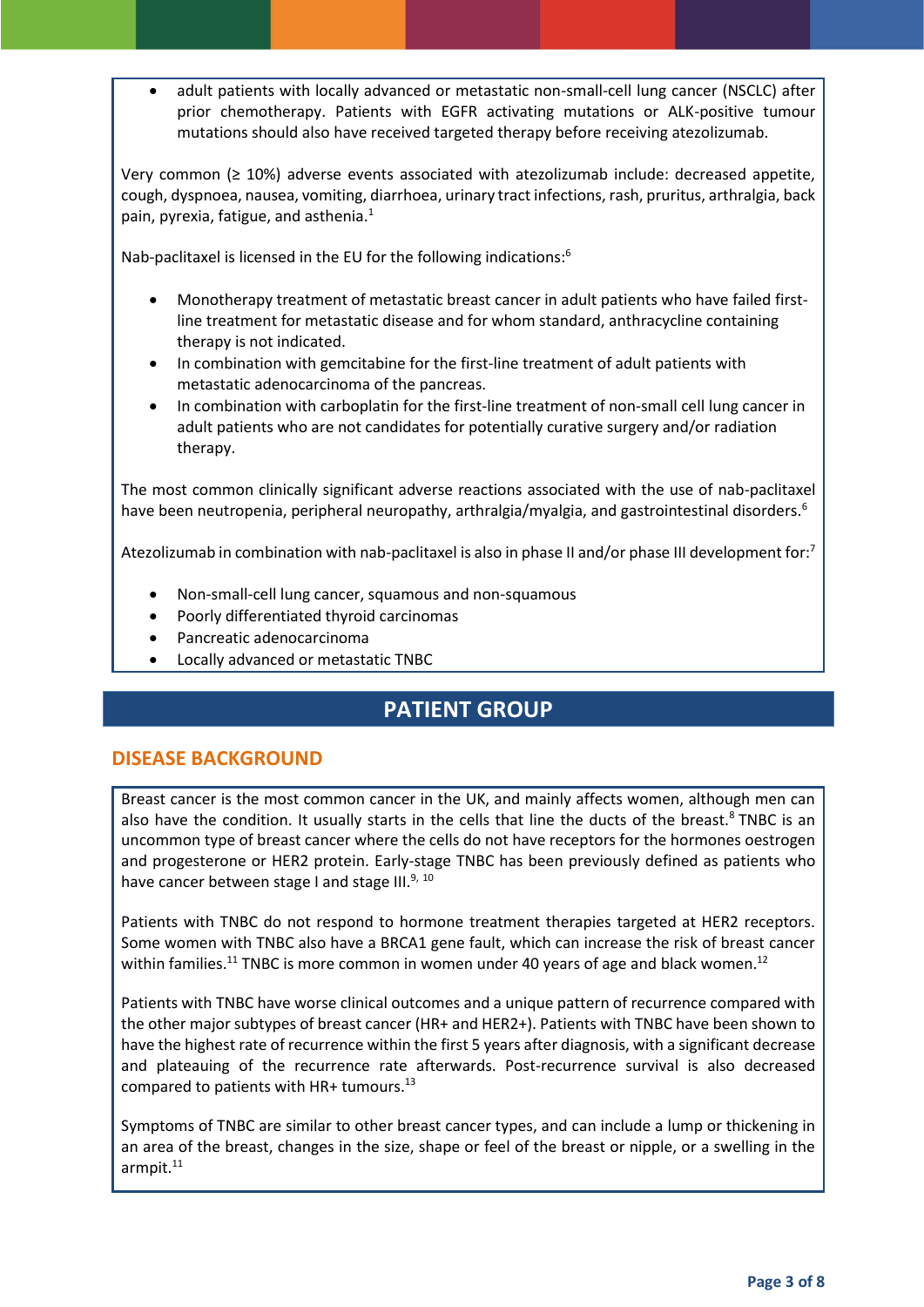adult patients with locally advanced or metastatic non-small-cell lung cancer (NSCLC) after prior chemotherapy. Patients with EGFR activating mutations or ALK-positive tumour mutations should also have received targeted therapy before receiving atezolizumab.

Very common ( $\geq 10\%$ ) adverse events associated with atezolizumab include: decreased appetite, cough, dyspnoea, nausea, vomiting, diarrhoea, urinary tract infections, rash, pruritus, arthralgia, back pain, pyrexia, fatigue, and asthenia[.](#page-1-0) $1$ 

Nab-paclitaxel is licensed in the EU for the following indications:<sup>6</sup>

- <span id="page-2-0"></span> Monotherapy treatment of metastatic breast cancer in adult patients who have failed firstline treatment for metastatic disease and for whom standard, anthracycline containing therapy is not indicated.
- In combination with gemcitabine for the first-line treatment of adult patients with metastatic adenocarcinoma of the pancreas.
- In combination with carboplatin for the first-line treatment of non-small cell lung cancer in adult patients who are not candidates for potentially curative surgery and/or radiation therapy.

The most common clinically significant adverse reactions associated with the use of nab-paclitaxel have been neutropenia, peripheral neuropathy, arthralgia/myalgia, and gastrointestinal disorders[.](#page-2-0)<sup>6</sup>

Atezolizumab in combination with nab-paclitaxel is also in phase II and/or phase III development for:<sup>7</sup>

- Non-small-cell lung cancer, squamous and non-squamous
- Poorly differentiated thyroid carcinomas
- Pancreatic adenocarcinoma
- Locally advanced or metastatic TNBC

## **PATIENT GROUP**

#### **DISEASE BACKGROUND**

Breast cancer is the most common cancer in the UK, and mainly affects women, although men can also have the condition. It usually starts in the cells that line the ducts of the breast.<sup>8</sup> TNBC is an uncommon type of breast cancer where the cells do not have receptors for the hormones oestrogen and progesterone or HER2 protein. Early-stage TNBC has been previously defined as patients who have cancer between stage I and stage  $III.^{9, 10}$ 

<span id="page-2-1"></span>Patients with TNBC do not respond to hormone treatment therapies targeted at HER2 receptors. Some women with TNBC also have a BRCA1 gene fault, which can increase the risk of breast cancer within families.<sup>11</sup> TNBC is more common in women under 40 years of age and black women.<sup>12</sup>

Patients with TNBC have worse clinical outcomes and a unique pattern of recurrence compared with the other major subtypes of breast cancer (HR+ and HER2+). Patients with TNBC have been shown to have the highest rate of recurrence within the first 5 years after diagnosis, with a significant decrease and plateauing of the recurrence rate afterwards. Post-recurrence survival is also decreased compared to patients with HR+ tumours.<sup>13</sup>

Symptoms of TNBC are similar to other breast cancer types, and can include a lump or thickening in an area of the breast, changes in the size, shape or feel of the breast or nipple, or a swelling in the armpit.<sup>[11](#page-2-1)</sup>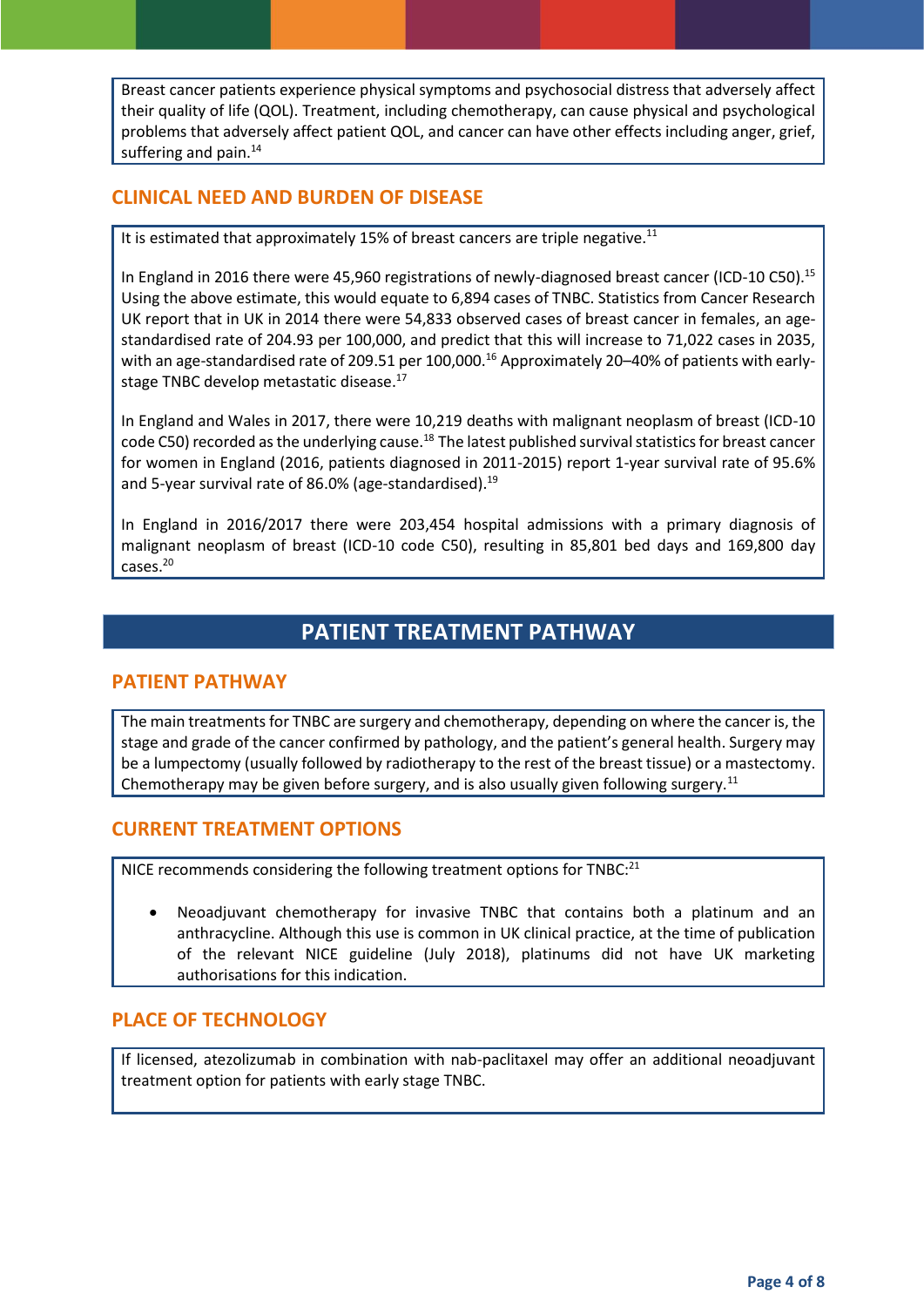Breast cancer patients experience physical symptoms and psychosocial distress that adversely affect their quality of life (QOL). Treatment, including chemotherapy, can cause physical and psychological problems that adversely affect patient QOL, and cancer can have other effects including anger, grief, suffering and pain.<sup>14</sup>

#### **CLINICAL NEED AND BURDEN OF DISEASE**

It is estimated that approximately 15% of breast cancers are triple negative.<sup>[11](#page-2-1)</sup>

In England in 2016 there were 45,960 registrations of newly-diagnosed breast cancer (ICD-10 C50).<sup>15</sup> Using the above estimate, this would equate to 6,894 cases of TNBC. Statistics from Cancer Research UK report that in UK in 2014 there were 54,833 observed cases of breast cancer in females, an agestandardised rate of 204.93 per 100,000, and predict that this will increase to 71,022 cases in 2035, with an age-standardised rate of 209.51 per 100,000.<sup>16</sup> Approximately 20–40% of patients with earlystage TNBC develop metastatic disease. 17

In England and Wales in 2017, there were 10,219 deaths with malignant neoplasm of breast (ICD-10 code C50) recorded as the underlying cause.<sup>18</sup> The latest published survival statistics for breast cancer for women in England (2016, patients diagnosed in 2011-2015) report 1-year survival rate of 95.6% and 5-year survival rate of 86.0% (age-standardised).<sup>19</sup>

In England in 2016/2017 there were 203,454 hospital admissions with a primary diagnosis of malignant neoplasm of breast (ICD-10 code C50), resulting in 85,801 bed days and 169,800 day cases.<sup>20</sup>

## **PATIENT TREATMENT PATHWAY**

#### **PATIENT PATHWAY**

The main treatments for TNBC are surgery and chemotherapy, depending on where the cancer is, the stage and grade of the cancer confirmed by pathology, and the patient's general health. Surgery may be a lumpectomy (usually followed by radiotherapy to the rest of the breast tissue) or a mastectomy. Chemotherapy may be given before surgery, and is also usually given following surgery.<sup>[11](#page-2-1)</sup>

#### **CURRENT TREATMENT OPTIONS**

NICE recommends considering the following treatment options for TNBC:<sup>21</sup>

 Neoadjuvant chemotherapy for invasive TNBC that contains both a platinum and an anthracycline. Although this use is common in UK clinical practice, at the time of publication of the relevant NICE guideline (July 2018), platinums did not have UK marketing authorisations for this indication.

#### **PLACE OF TECHNOLOGY**

If licensed, atezolizumab in combination with nab-paclitaxel may offer an additional neoadjuvant treatment option for patients with early stage TNBC.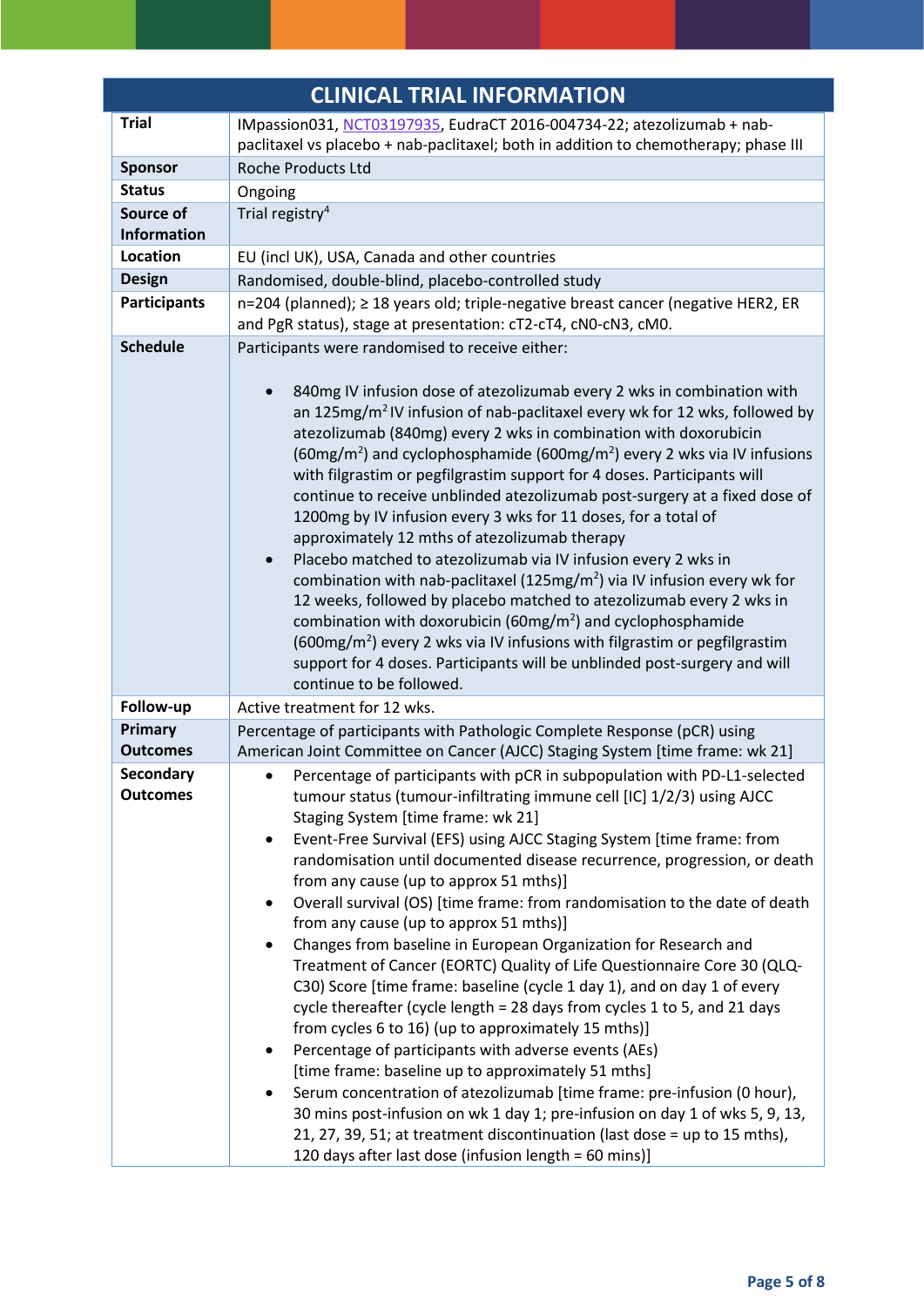| <b>CLINICAL TRIAL INFORMATION</b> |                                                                                                                                                                                                                                                                                                                                                                                                                                                                                                                                                                                                                                                                                                                                                                                                                                                                                                                                                                                                                                                                                                                                                                                                                                                                                                                    |  |
|-----------------------------------|--------------------------------------------------------------------------------------------------------------------------------------------------------------------------------------------------------------------------------------------------------------------------------------------------------------------------------------------------------------------------------------------------------------------------------------------------------------------------------------------------------------------------------------------------------------------------------------------------------------------------------------------------------------------------------------------------------------------------------------------------------------------------------------------------------------------------------------------------------------------------------------------------------------------------------------------------------------------------------------------------------------------------------------------------------------------------------------------------------------------------------------------------------------------------------------------------------------------------------------------------------------------------------------------------------------------|--|
| <b>Trial</b>                      | IMpassion031, NCT03197935, EudraCT 2016-004734-22; atezolizumab + nab-                                                                                                                                                                                                                                                                                                                                                                                                                                                                                                                                                                                                                                                                                                                                                                                                                                                                                                                                                                                                                                                                                                                                                                                                                                             |  |
|                                   | paclitaxel vs placebo + nab-paclitaxel; both in addition to chemotherapy; phase III                                                                                                                                                                                                                                                                                                                                                                                                                                                                                                                                                                                                                                                                                                                                                                                                                                                                                                                                                                                                                                                                                                                                                                                                                                |  |
| <b>Sponsor</b>                    | <b>Roche Products Ltd</b>                                                                                                                                                                                                                                                                                                                                                                                                                                                                                                                                                                                                                                                                                                                                                                                                                                                                                                                                                                                                                                                                                                                                                                                                                                                                                          |  |
| <b>Status</b>                     | Ongoing                                                                                                                                                                                                                                                                                                                                                                                                                                                                                                                                                                                                                                                                                                                                                                                                                                                                                                                                                                                                                                                                                                                                                                                                                                                                                                            |  |
| Source of                         | Trial registry <sup>4</sup>                                                                                                                                                                                                                                                                                                                                                                                                                                                                                                                                                                                                                                                                                                                                                                                                                                                                                                                                                                                                                                                                                                                                                                                                                                                                                        |  |
| <b>Information</b>                |                                                                                                                                                                                                                                                                                                                                                                                                                                                                                                                                                                                                                                                                                                                                                                                                                                                                                                                                                                                                                                                                                                                                                                                                                                                                                                                    |  |
| Location                          | EU (incl UK), USA, Canada and other countries                                                                                                                                                                                                                                                                                                                                                                                                                                                                                                                                                                                                                                                                                                                                                                                                                                                                                                                                                                                                                                                                                                                                                                                                                                                                      |  |
| <b>Design</b>                     | Randomised, double-blind, placebo-controlled study                                                                                                                                                                                                                                                                                                                                                                                                                                                                                                                                                                                                                                                                                                                                                                                                                                                                                                                                                                                                                                                                                                                                                                                                                                                                 |  |
| <b>Participants</b>               | n=204 (planned); ≥ 18 years old; triple-negative breast cancer (negative HER2, ER<br>and PgR status), stage at presentation: cT2-cT4, cN0-cN3, cM0.                                                                                                                                                                                                                                                                                                                                                                                                                                                                                                                                                                                                                                                                                                                                                                                                                                                                                                                                                                                                                                                                                                                                                                |  |
| <b>Schedule</b>                   | Participants were randomised to receive either:                                                                                                                                                                                                                                                                                                                                                                                                                                                                                                                                                                                                                                                                                                                                                                                                                                                                                                                                                                                                                                                                                                                                                                                                                                                                    |  |
|                                   | 840mg IV infusion dose of atezolizumab every 2 wks in combination with<br>an 125mg/m <sup>2</sup> IV infusion of nab-paclitaxel every wk for 12 wks, followed by<br>atezolizumab (840mg) every 2 wks in combination with doxorubicin<br>(60mg/m <sup>2</sup> ) and cyclophosphamide (600mg/m <sup>2</sup> ) every 2 wks via IV infusions<br>with filgrastim or pegfilgrastim support for 4 doses. Participants will<br>continue to receive unblinded atezolizumab post-surgery at a fixed dose of<br>1200mg by IV infusion every 3 wks for 11 doses, for a total of<br>approximately 12 mths of atezolizumab therapy<br>Placebo matched to atezolizumab via IV infusion every 2 wks in<br>combination with nab-paclitaxel (125mg/m <sup>2</sup> ) via IV infusion every wk for<br>12 weeks, followed by placebo matched to atezolizumab every 2 wks in<br>combination with doxorubicin ( $60mg/m2$ ) and cyclophosphamide<br>$(600mg/m2)$ every 2 wks via IV infusions with filgrastim or pegfilgrastim<br>support for 4 doses. Participants will be unblinded post-surgery and will<br>continue to be followed.                                                                                                                                                                                                   |  |
| Follow-up                         | Active treatment for 12 wks.                                                                                                                                                                                                                                                                                                                                                                                                                                                                                                                                                                                                                                                                                                                                                                                                                                                                                                                                                                                                                                                                                                                                                                                                                                                                                       |  |
| Primary                           | Percentage of participants with Pathologic Complete Response (pCR) using                                                                                                                                                                                                                                                                                                                                                                                                                                                                                                                                                                                                                                                                                                                                                                                                                                                                                                                                                                                                                                                                                                                                                                                                                                           |  |
| <b>Outcomes</b>                   | American Joint Committee on Cancer (AJCC) Staging System [time frame: wk 21]                                                                                                                                                                                                                                                                                                                                                                                                                                                                                                                                                                                                                                                                                                                                                                                                                                                                                                                                                                                                                                                                                                                                                                                                                                       |  |
| Secondary<br><b>Outcomes</b>      | Percentage of participants with pCR in subpopulation with PD-L1-selected<br>tumour status (tumour-infiltrating immune cell [IC] 1/2/3) using AJCC<br>Staging System [time frame: wk 21]<br>Event-Free Survival (EFS) using AJCC Staging System [time frame: from<br>$\bullet$<br>randomisation until documented disease recurrence, progression, or death<br>from any cause (up to approx 51 mths)]<br>Overall survival (OS) [time frame: from randomisation to the date of death<br>from any cause (up to approx 51 mths)]<br>Changes from baseline in European Organization for Research and<br>Treatment of Cancer (EORTC) Quality of Life Questionnaire Core 30 (QLQ-<br>C30) Score [time frame: baseline (cycle 1 day 1), and on day 1 of every<br>cycle thereafter (cycle length = 28 days from cycles 1 to 5, and 21 days<br>from cycles 6 to 16) (up to approximately 15 mths)]<br>Percentage of participants with adverse events (AEs)<br>[time frame: baseline up to approximately 51 mths]<br>Serum concentration of atezolizumab [time frame: pre-infusion (0 hour),<br>$\bullet$<br>30 mins post-infusion on wk 1 day 1; pre-infusion on day 1 of wks 5, 9, 13,<br>21, 27, 39, 51; at treatment discontinuation (last dose = up to 15 mths),<br>120 days after last dose (infusion length = 60 mins)] |  |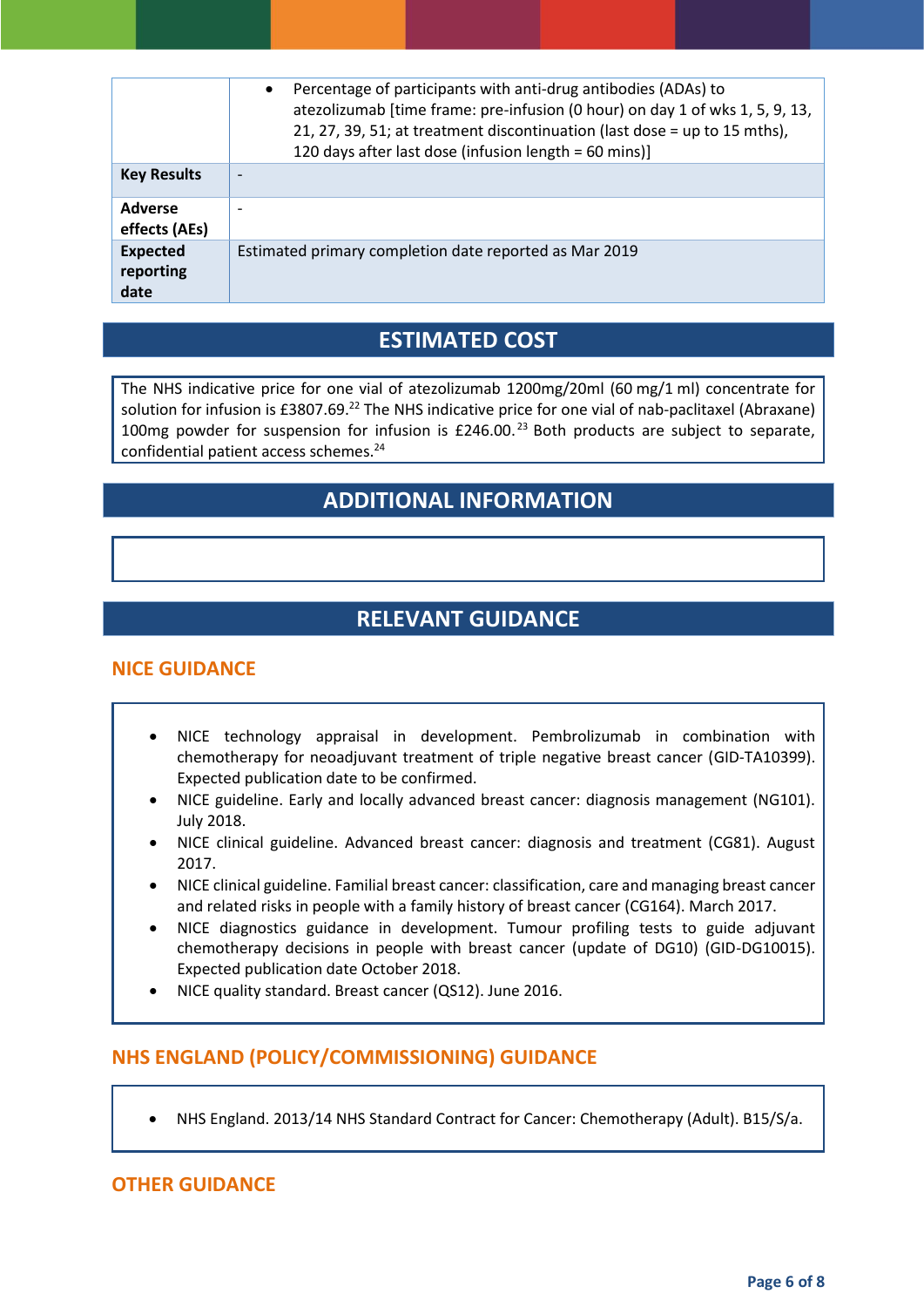|                                      | Percentage of participants with anti-drug antibodies (ADAs) to<br>$\bullet$<br>atezolizumab [time frame: pre-infusion (0 hour) on day 1 of wks 1, 5, 9, 13,<br>21, 27, 39, 51; at treatment discontinuation (last dose = up to 15 mths),<br>120 days after last dose (infusion length = 60 mins)] |
|--------------------------------------|---------------------------------------------------------------------------------------------------------------------------------------------------------------------------------------------------------------------------------------------------------------------------------------------------|
| <b>Key Results</b>                   |                                                                                                                                                                                                                                                                                                   |
| <b>Adverse</b><br>effects (AEs)      | ۰                                                                                                                                                                                                                                                                                                 |
| <b>Expected</b><br>reporting<br>date | Estimated primary completion date reported as Mar 2019                                                                                                                                                                                                                                            |

## **ESTIMATED COST**

The NHS indicative price for one vial of atezolizumab 1200mg/20ml (60 mg/1 ml) concentrate for solution for infusion is £3807.69.<sup>22</sup> The NHS indicative price for one vial of nab-paclitaxel (Abraxane) 100mg powder for suspension for infusion is  $£246.00<sup>23</sup>$  Both products are subject to separate, confidential patient access schemes.<sup>24</sup>

## **ADDITIONAL INFORMATION**

## **RELEVANT GUIDANCE**

#### **NICE GUIDANCE**

- NICE technology appraisal in development. Pembrolizumab in combination with chemotherapy for neoadjuvant treatment of triple negative breast cancer (GID-TA10399). Expected publication date to be confirmed.
- NICE guideline. Early and locally advanced breast cancer: diagnosis management (NG101). July 2018.
- NICE clinical guideline. Advanced breast cancer: diagnosis and treatment (CG81). August 2017.
- NICE clinical guideline. Familial breast cancer: classification, care and managing breast cancer and related risks in people with a family history of breast cancer (CG164). March 2017.
- NICE diagnostics guidance in development. Tumour profiling tests to guide adjuvant chemotherapy decisions in people with breast cancer (update of DG10) (GID-DG10015). Expected publication date October 2018.
- NICE quality standard. Breast cancer (QS12). June 2016.

#### **NHS ENGLAND (POLICY/COMMISSIONING) GUIDANCE**

NHS England. 2013/14 NHS Standard Contract for Cancer: Chemotherapy (Adult). B15/S/a.

#### **OTHER GUIDANCE**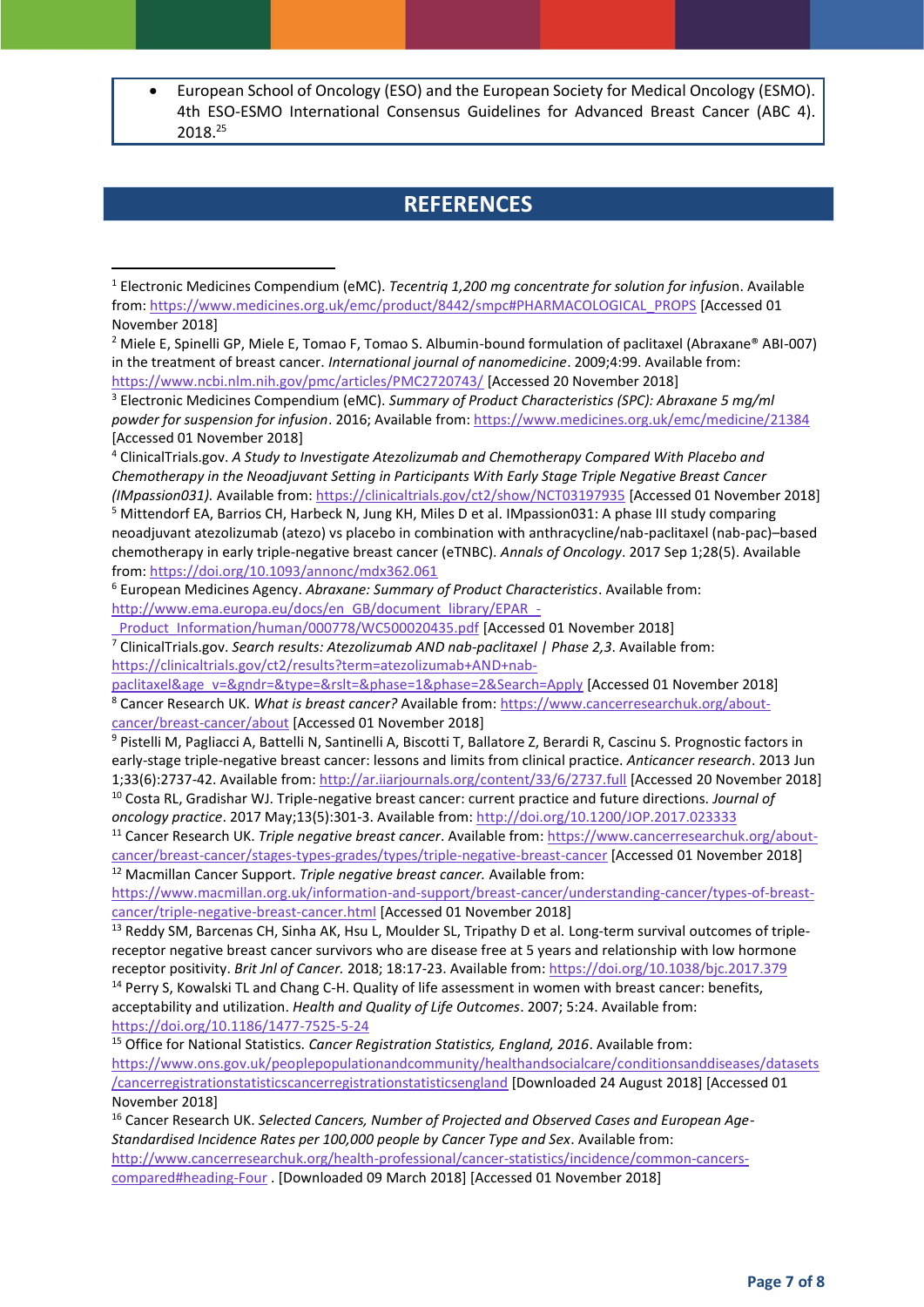European School of Oncology (ESO) and the European Society for Medical Oncology (ESMO). 4th ESO-ESMO International Consensus Guidelines for Advanced Breast Cancer (ABC 4). 2018.<sup>25</sup>

#### **REFERENCES**

1

<sup>1</sup> Electronic Medicines Compendium (eMC). *Tecentriq 1,200 mg concentrate for solution for infusio*n. Available from[: https://www.medicines.org.uk/emc/product/8442/smpc#PHARMACOLOGICAL\\_PROPS](https://www.medicines.org.uk/emc/product/8442/smpc#PHARMACOLOGICAL_PROPS) [Accessed 01 November 2018]

<sup>2</sup> Miele E, Spinelli GP, Miele E, Tomao F, Tomao S. Albumin-bound formulation of paclitaxel (Abraxane® ABI-007) in the treatment of breast cancer. *International journal of nanomedicine*. 2009;4:99. Available from: <https://www.ncbi.nlm.nih.gov/pmc/articles/PMC2720743/> [Accessed 20 November 2018]

<sup>3</sup> Electronic Medicines Compendium (eMC). *Summary of Product Characteristics (SPC): Abraxane 5 mg/ml powder for suspension for infusion*. 2016; Available from[: https://www.medicines.org.uk/emc/medicine/21384](https://www.medicines.org.uk/emc/medicine/21384) [Accessed 01 November 2018]

<sup>4</sup> ClinicalTrials.gov. *A Study to Investigate Atezolizumab and Chemotherapy Compared With Placebo and Chemotherapy in the Neoadjuvant Setting in Participants With Early Stage Triple Negative Breast Cancer (IMpassion031).* Available from:<https://clinicaltrials.gov/ct2/show/NCT03197935> [Accessed 01 November 2018] <sup>5</sup> Mittendorf EA, Barrios CH, Harbeck N, Jung KH, Miles D et al. IMpassion031: A phase III study comparing neoadjuvant atezolizumab (atezo) vs placebo in combination with anthracycline/nab-paclitaxel (nab-pac)–based chemotherapy in early triple-negative breast cancer (eTNBC). *Annals of Oncology*. 2017 Sep 1;28(5). Available from[: https://doi.org/10.1093/annonc/mdx362.061](https://doi.org/10.1093/annonc/mdx362.061)

<sup>6</sup> European Medicines Agency. *Abraxane: Summary of Product Characteristics*. Available from: [http://www.ema.europa.eu/docs/en\\_GB/document\\_library/EPAR\\_-](http://www.ema.europa.eu/docs/en_GB/document_library/EPAR_-_Product_Information/human/000778/WC500020435.pdf)

Product\_Information/human/000778/WC500020435.pdf [Accessed 01 November 2018] <sup>7</sup> ClinicalTrials.gov. *Search results: Atezolizumab AND nab-paclitaxel | Phase 2,3*. Available from: [https://clinicaltrials.gov/ct2/results?term=atezolizumab+AND+nab-](https://clinicaltrials.gov/ct2/results?term=atezolizumab+AND+nab-paclitaxel&age_v=&gndr=&type=&rslt=&phase=1&phase=2&Search=Apply)

[paclitaxel&age\\_v=&gndr=&type=&rslt=&phase=1&phase=2&Search=Apply](https://clinicaltrials.gov/ct2/results?term=atezolizumab+AND+nab-paclitaxel&age_v=&gndr=&type=&rslt=&phase=1&phase=2&Search=Apply) [Accessed 01 November 2018] <sup>8</sup> Cancer Research UK. *What is breast cancer?* Available from[: https://www.cancerresearchuk.org/about](https://www.cancerresearchuk.org/about-cancer/breast-cancer/about)[cancer/breast-cancer/about](https://www.cancerresearchuk.org/about-cancer/breast-cancer/about) [Accessed 01 November 2018]

<sup>&</sup>lt;sup>9</sup> Pistelli M, Pagliacci A, Battelli N, Santinelli A, Biscotti T, Ballatore Z, Berardi R, Cascinu S. Prognostic factors in early-stage triple-negative breast cancer: lessons and limits from clinical practice. *Anticancer research*. 2013 Jun 1;33(6):2737-42. Available from:<http://ar.iiarjournals.org/content/33/6/2737.full> [Accessed 20 November 2018]

<sup>10</sup> Costa RL, Gradishar WJ. Triple-negative breast cancer: current practice and future directions. *Journal of oncology practice*. 2017 May;13(5):301-3. Available from:<http://doi.org/10.1200/JOP.2017.023333>

<sup>11</sup> Cancer Research UK. *Triple negative breast cancer*. Available from: [https://www.cancerresearchuk.org/about](https://www.cancerresearchuk.org/about-cancer/breast-cancer/stages-types-grades/types/triple-negative-breast-cancer)[cancer/breast-cancer/stages-types-grades/types/triple-negative-breast-cancer](https://www.cancerresearchuk.org/about-cancer/breast-cancer/stages-types-grades/types/triple-negative-breast-cancer) [Accessed 01 November 2018] <sup>12</sup> Macmillan Cancer Support. *Triple negative breast cancer.* Available from:

[https://www.macmillan.org.uk/information-and-support/breast-cancer/understanding-cancer/types-of-breast](https://www.macmillan.org.uk/information-and-support/breast-cancer/understanding-cancer/types-of-breast-cancer/triple-negative-breast-cancer.html)[cancer/triple-negative-breast-cancer.html](https://www.macmillan.org.uk/information-and-support/breast-cancer/understanding-cancer/types-of-breast-cancer/triple-negative-breast-cancer.html) [Accessed 01 November 2018]

<sup>&</sup>lt;sup>13</sup> Reddy SM, Barcenas CH, Sinha AK, Hsu L, Moulder SL, Tripathy D et al. Long-term survival outcomes of triplereceptor negative breast cancer survivors who are disease free at 5 years and relationship with low hormone receptor positivity. *Brit Jnl of Cancer.* 2018; 18:17-23. Available from:<https://doi.org/10.1038/bjc.2017.379> <sup>14</sup> Perry S, Kowalski TL and Chang C-H. Quality of life assessment in women with breast cancer: benefits, acceptability and utilization. *Health and Quality of Life Outcomes*. 2007; 5:24. Available from: <https://doi.org/10.1186/1477-7525-5-24>

<sup>15</sup> Office for National Statistics. *Cancer Registration Statistics, England, 2016*. Available from: [https://www.ons.gov.uk/peoplepopulationandcommunity/healthandsocialcare/conditionsanddiseases/datasets](https://www.ons.gov.uk/peoplepopulationandcommunity/healthandsocialcare/conditionsanddiseases/datasets/cancerregistrationstatisticscancerregistrationstatisticsengland) [/cancerregistrationstatisticscancerregistrationstatisticsengland](https://www.ons.gov.uk/peoplepopulationandcommunity/healthandsocialcare/conditionsanddiseases/datasets/cancerregistrationstatisticscancerregistrationstatisticsengland) [Downloaded 24 August 2018] [Accessed 01 November 2018]

<sup>&</sup>lt;sup>16</sup> Cancer Research UK. Selected Cancers, Number of Projected and Observed Cases and European Age-*Standardised Incidence Rates per 100,000 people by Cancer Type and Sex*. Available from: [http://www.cancerresearchuk.org/health-professional/cancer-statistics/incidence/common-cancers](http://www.cancerresearchuk.org/health-professional/cancer-statistics/incidence/common-cancers-compared#heading-Four)[compared#heading-Four](http://www.cancerresearchuk.org/health-professional/cancer-statistics/incidence/common-cancers-compared#heading-Four) . [Downloaded 09 March 2018] [Accessed 01 November 2018]